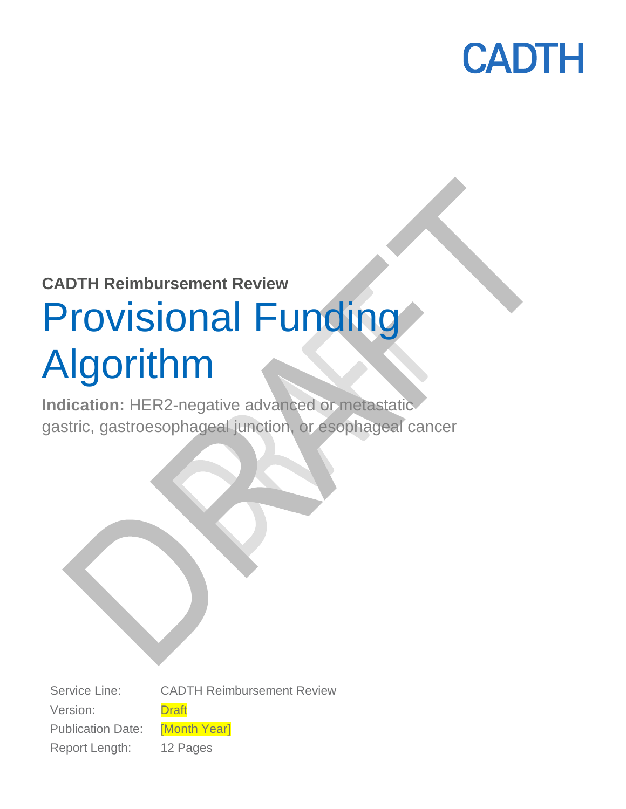

### **CADTH Reimbursement Review**

# Provisional Funding Algorithm

**Indication:** HER2-negative advanced or metastatic gastric, gastroesophageal junction, or esophageal cancer

Service Line: CADTH Reimbursement Review Version: Draft Publication Date: [Month Year] Report Length: 12 Pages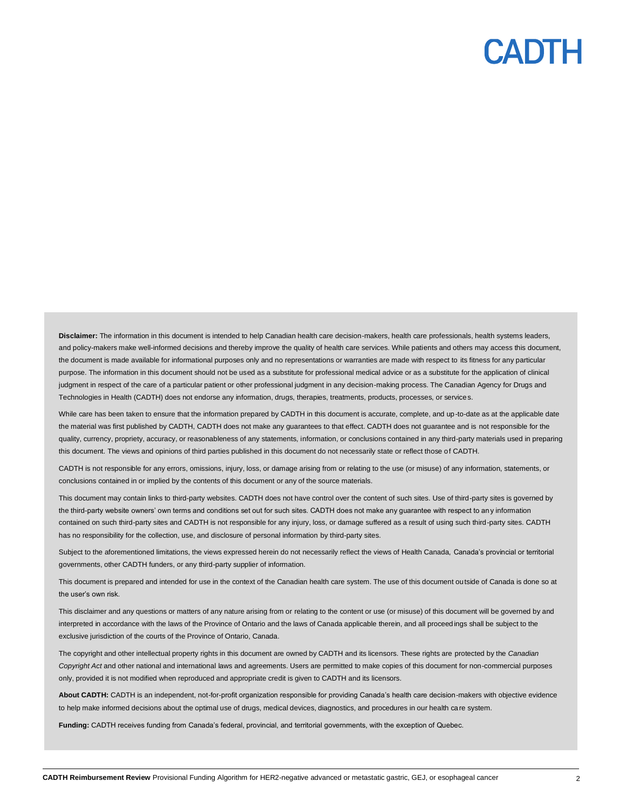Disclaimer: The information in this document is intended to help Canadian health care decision-makers, health care professionals, health systems leaders, and policy-makers make well-informed decisions and thereby improve the quality of health care services. While patients and others may access this document, the document is made available for informational purposes only and no representations or warranties are made with respect to its fitness for any particular purpose. The information in this document should not be used as a substitute for professional medical advice or as a substitute for the application of clinical judgment in respect of the care of a particular patient or other professional judgment in any decision-making process. The Canadian Agency for Drugs and Technologies in Health (CADTH) does not endorse any information, drugs, therapies, treatments, products, processes, or services.

While care has been taken to ensure that the information prepared by CADTH in this document is accurate, complete, and up-to-date as at the applicable date the material was first published by CADTH, CADTH does not make any guarantees to that effect. CADTH does not guarantee and is not responsible for the quality, currency, propriety, accuracy, or reasonableness of any statements, information, or conclusions contained in any third-party materials used in preparing this document. The views and opinions of third parties published in this document do not necessarily state or reflect those of CADTH.

CADTH is not responsible for any errors, omissions, injury, loss, or damage arising from or relating to the use (or misuse) of any information, statements, or conclusions contained in or implied by the contents of this document or any of the source materials.

This document may contain links to third-party websites. CADTH does not have control over the content of such sites. Use of third-party sites is governed by the third-party website owners' own terms and conditions set out for such sites. CADTH does not make any guarantee with respect to any information contained on such third-party sites and CADTH is not responsible for any injury, loss, or damage suffered as a result of using such third-party sites. CADTH has no responsibility for the collection, use, and disclosure of personal information by third-party sites.

Subject to the aforementioned limitations, the views expressed herein do not necessarily reflect the views of Health Canada, Canada's provincial or territorial governments, other CADTH funders, or any third-party supplier of information.

This document is prepared and intended for use in the context of the Canadian health care system. The use of this document outside of Canada is done so at the user's own risk.

This disclaimer and any questions or matters of any nature arising from or relating to the content or use (or misuse) of this document will be governed by and interpreted in accordance with the laws of the Province of Ontario and the laws of Canada applicable therein, and all proceedings shall be subject to the exclusive jurisdiction of the courts of the Province of Ontario, Canada.

The copyright and other intellectual property rights in this document are owned by CADTH and its licensors. These rights are protected by the *Canadian Copyright Act* and other national and international laws and agreements. Users are permitted to make copies of this document for non-commercial purposes only, provided it is not modified when reproduced and appropriate credit is given to CADTH and its licensors.

**About CADTH:** CADTH is an independent, not-for-profit organization responsible for providing Canada's health care decision-makers with objective evidence to help make informed decisions about the optimal use of drugs, medical devices, diagnostics, and procedures in our health care system.

**Funding:** CADTH receives funding from Canada's federal, provincial, and territorial governments, with the exception of Quebec.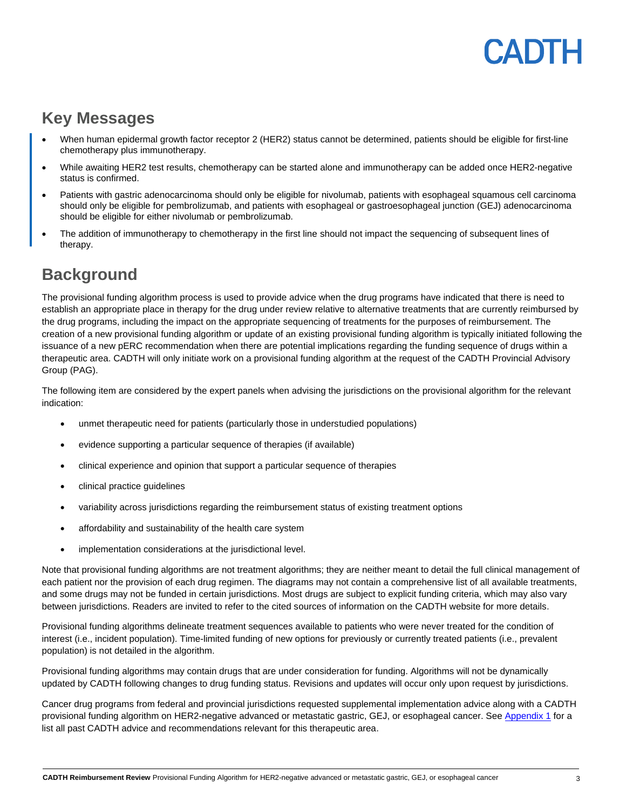## PADTH

### **Key Messages**

- When human epidermal growth factor receptor 2 (HER2) status cannot be determined, patients should be eligible for first-line chemotherapy plus immunotherapy.
- While awaiting HER2 test results, chemotherapy can be started alone and immunotherapy can be added once HER2-negative status is confirmed.
- Patients with gastric adenocarcinoma should only be eligible for nivolumab, patients with esophageal squamous cell carcinoma should only be eligible for pembrolizumab, and patients with esophageal or gastroesophageal junction (GEJ) adenocarcinoma should be eligible for either nivolumab or pembrolizumab.
- The addition of immunotherapy to chemotherapy in the first line should not impact the sequencing of subsequent lines of therapy.

### **Background**

The provisional funding algorithm process is used to provide advice when the drug programs have indicated that there is need to establish an appropriate place in therapy for the drug under review relative to alternative treatments that are currently reimbursed by the drug programs, including the impact on the appropriate sequencing of treatments for the purposes of reimbursement. The creation of a new provisional funding algorithm or update of an existing provisional funding algorithm is typically initiated following the issuance of a new pERC recommendation when there are potential implications regarding the funding sequence of drugs within a therapeutic area. CADTH will only initiate work on a provisional funding algorithm at the request of the CADTH Provincial Advisory Group (PAG).

The following item are considered by the expert panels when advising the jurisdictions on the provisional algorithm for the relevant indication:

- unmet therapeutic need for patients (particularly those in understudied populations)
- evidence supporting a particular sequence of therapies (if available)
- clinical experience and opinion that support a particular sequence of therapies
- clinical practice guidelines
- variability across jurisdictions regarding the reimbursement status of existing treatment options
- affordability and sustainability of the health care system
- implementation considerations at the jurisdictional level.

Note that provisional funding algorithms are not treatment algorithms; they are neither meant to detail the full clinical management of each patient nor the provision of each drug regimen. The diagrams may not contain a comprehensive list of all available treatments, and some drugs may not be funded in certain jurisdictions. Most drugs are subject to explicit funding criteria, which may also vary between jurisdictions. Readers are invited to refer to the cited sources of information on the CADTH website for more details.

Provisional funding algorithms delineate treatment sequences available to patients who were never treated for the condition of interest (i.e., incident population). Time-limited funding of new options for previously or currently treated patients (i.e., prevalent population) is not detailed in the algorithm.

Provisional funding algorithms may contain drugs that are under consideration for funding. Algorithms will not be dynamically updated by CADTH following changes to drug funding status. Revisions and updates will occur only upon request by jurisdictions.

Cancer drug programs from federal and provincial jurisdictions requested supplemental implementation advice along with a CADTH provisional funding algorithm on HER2-negative advanced or metastatic gastric, GEJ, or esophageal cancer. See [Appendix 1](#page-7-0) for a list all past CADTH advice and recommendations relevant for this therapeutic area.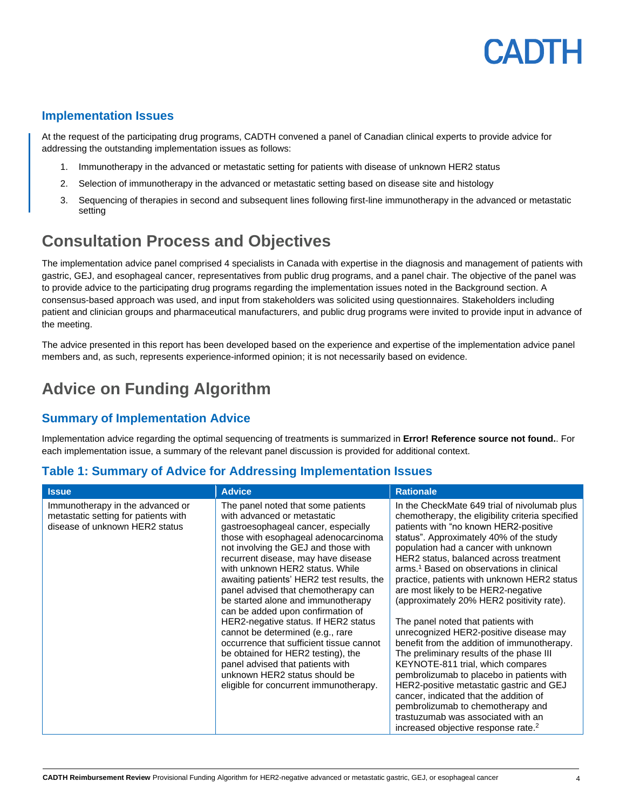## **ANTH**

#### **Implementation Issues**

At the request of the participating drug programs, CADTH convened a panel of Canadian clinical experts to provide advice for addressing the outstanding implementation issues as follows:

- 1. Immunotherapy in the advanced or metastatic setting for patients with disease of unknown HER2 status
- 2. Selection of immunotherapy in the advanced or metastatic setting based on disease site and histology
- 3. Sequencing of therapies in second and subsequent lines following first-line immunotherapy in the advanced or metastatic setting

### **Consultation Process and Objectives**

The implementation advice panel comprised 4 specialists in Canada with expertise in the diagnosis and management of patients with gastric, GEJ, and esophageal cancer, representatives from public drug programs, and a panel chair. The objective of the panel was to provide advice to the participating drug programs regarding the implementation issues noted in the Background section. A consensus-based approach was used, and input from stakeholders was solicited using questionnaires. Stakeholders including patient and clinician groups and pharmaceutical manufacturers, and public drug programs were invited to provide input in advance of the meeting.

The advice presented in this report has been developed based on the experience and expertise of the implementation advice panel members and, as such, represents experience-informed opinion; it is not necessarily based on evidence.

### **Advice on Funding Algorithm**

#### **Summary of Implementation Advice**

Implementation advice regarding the optimal sequencing of treatments is summarized in **Error! Reference source not found.**. For each implementation issue, a summary of the relevant panel discussion is provided for additional context.

#### **Table 1: Summary of Advice for Addressing Implementation Issues**

| <b>Issue</b>                                                                                               | <b>Advice</b>                                                                                                                                                                                                                                                                                                                                                                                                                                                                                                                                                                                                                                                                                                  | <b>Rationale</b>                                                                                                                                                                                                                                                                                                                                                                                                                                                                                                                                                                                                                                                                                                                                                                                                                                                                                                                                   |
|------------------------------------------------------------------------------------------------------------|----------------------------------------------------------------------------------------------------------------------------------------------------------------------------------------------------------------------------------------------------------------------------------------------------------------------------------------------------------------------------------------------------------------------------------------------------------------------------------------------------------------------------------------------------------------------------------------------------------------------------------------------------------------------------------------------------------------|----------------------------------------------------------------------------------------------------------------------------------------------------------------------------------------------------------------------------------------------------------------------------------------------------------------------------------------------------------------------------------------------------------------------------------------------------------------------------------------------------------------------------------------------------------------------------------------------------------------------------------------------------------------------------------------------------------------------------------------------------------------------------------------------------------------------------------------------------------------------------------------------------------------------------------------------------|
| Immunotherapy in the advanced or<br>metastatic setting for patients with<br>disease of unknown HER2 status | The panel noted that some patients<br>with advanced or metastatic<br>gastroesophageal cancer, especially<br>those with esophageal adenocarcinoma<br>not involving the GEJ and those with<br>recurrent disease, may have disease<br>with unknown HER2 status. While<br>awaiting patients' HER2 test results, the<br>panel advised that chemotherapy can<br>be started alone and immunotherapy<br>can be added upon confirmation of<br>HER2-negative status. If HER2 status<br>cannot be determined (e.g., rare<br>occurrence that sufficient tissue cannot<br>be obtained for HER2 testing), the<br>panel advised that patients with<br>unknown HER2 status should be<br>eligible for concurrent immunotherapy. | In the CheckMate 649 trial of nivolumab plus<br>chemotherapy, the eligibility criteria specified<br>patients with "no known HER2-positive<br>status". Approximately 40% of the study<br>population had a cancer with unknown<br>HER2 status, balanced across treatment<br>arms. <sup>1</sup> Based on observations in clinical<br>practice, patients with unknown HER2 status<br>are most likely to be HER2-negative<br>(approximately 20% HER2 positivity rate).<br>The panel noted that patients with<br>unrecognized HER2-positive disease may<br>benefit from the addition of immunotherapy.<br>The preliminary results of the phase III<br>KEYNOTE-811 trial, which compares<br>pembrolizumab to placebo in patients with<br>HER2-positive metastatic gastric and GEJ<br>cancer, indicated that the addition of<br>pembrolizumab to chemotherapy and<br>trastuzumab was associated with an<br>increased objective response rate. <sup>2</sup> |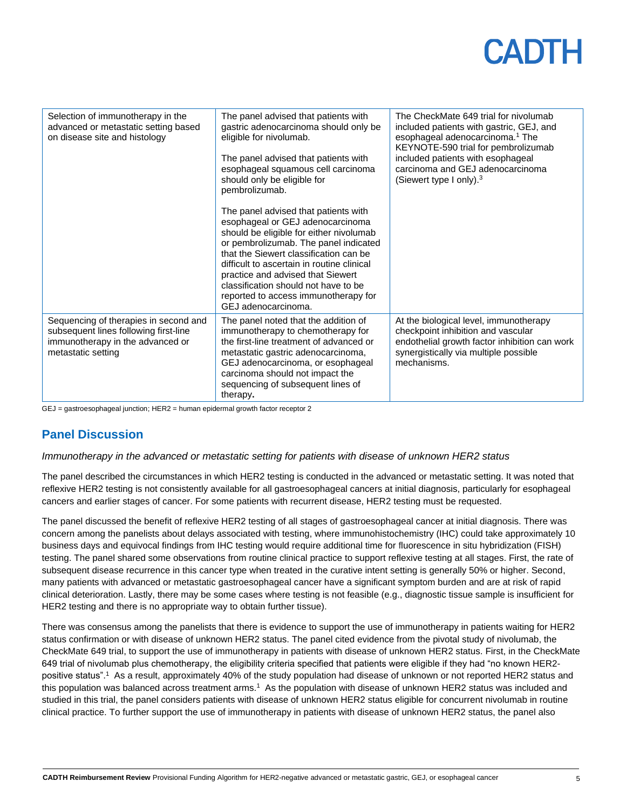| Selection of immunotherapy in the<br>advanced or metastatic setting based<br>on disease site and histology                               | The panel advised that patients with<br>gastric adenocarcinoma should only be<br>eligible for nivolumab.<br>The panel advised that patients with<br>esophageal squamous cell carcinoma<br>should only be eligible for<br>pembrolizumab.<br>The panel advised that patients with<br>esophageal or GEJ adenocarcinoma<br>should be eligible for either nivolumab<br>or pembrolizumab. The panel indicated<br>that the Siewert classification can be<br>difficult to ascertain in routine clinical<br>practice and advised that Siewert<br>classification should not have to be<br>reported to access immunotherapy for<br>GEJ adenocarcinoma. | The CheckMate 649 trial for nivolumab<br>included patients with gastric, GEJ, and<br>esophageal adenocarcinoma. <sup>1</sup> The<br>KEYNOTE-590 trial for pembrolizumab<br>included patients with esophageal<br>carcinoma and GEJ adenocarcinoma<br>(Siewert type I only). $3$ |
|------------------------------------------------------------------------------------------------------------------------------------------|---------------------------------------------------------------------------------------------------------------------------------------------------------------------------------------------------------------------------------------------------------------------------------------------------------------------------------------------------------------------------------------------------------------------------------------------------------------------------------------------------------------------------------------------------------------------------------------------------------------------------------------------|--------------------------------------------------------------------------------------------------------------------------------------------------------------------------------------------------------------------------------------------------------------------------------|
| Sequencing of therapies in second and<br>subsequent lines following first-line<br>immunotherapy in the advanced or<br>metastatic setting | The panel noted that the addition of<br>immunotherapy to chemotherapy for<br>the first-line treatment of advanced or<br>metastatic gastric adenocarcinoma,<br>GEJ adenocarcinoma, or esophageal<br>carcinoma should not impact the<br>sequencing of subsequent lines of<br>therapy.                                                                                                                                                                                                                                                                                                                                                         | At the biological level, immunotherapy<br>checkpoint inhibition and vascular<br>endothelial growth factor inhibition can work<br>synergistically via multiple possible<br>mechanisms.                                                                                          |

GEJ = gastroesophageal junction; HER2 = human epidermal growth factor receptor 2

#### **Panel Discussion**

#### *Immunotherapy in the advanced or metastatic setting for patients with disease of unknown HER2 status*

The panel described the circumstances in which HER2 testing is conducted in the advanced or metastatic setting. It was noted that reflexive HER2 testing is not consistently available for all gastroesophageal cancers at initial diagnosis, particularly for esophageal cancers and earlier stages of cancer. For some patients with recurrent disease, HER2 testing must be requested.

The panel discussed the benefit of reflexive HER2 testing of all stages of gastroesophageal cancer at initial diagnosis. There was concern among the panelists about delays associated with testing, where immunohistochemistry (IHC) could take approximately 10 business days and equivocal findings from IHC testing would require additional time for fluorescence in situ hybridization (FISH) testing. The panel shared some observations from routine clinical practice to support reflexive testing at all stages. First, the rate of subsequent disease recurrence in this cancer type when treated in the curative intent setting is generally 50% or higher. Second, many patients with advanced or metastatic gastroesophageal cancer have a significant symptom burden and are at risk of rapid clinical deterioration. Lastly, there may be some cases where testing is not feasible (e.g., diagnostic tissue sample is insufficient for HER2 testing and there is no appropriate way to obtain further tissue).

There was consensus among the panelists that there is evidence to support the use of immunotherapy in patients waiting for HER2 status confirmation or with disease of unknown HER2 status. The panel cited evidence from the pivotal study of nivolumab, the CheckMate 649 trial, to support the use of immunotherapy in patients with disease of unknown HER2 status. First, in the CheckMate 649 trial of nivolumab plus chemotherapy, the eligibility criteria specified that patients were eligible if they had "no known HER2 positive status".<sup>1</sup> As a result, approximately 40% of the study population had disease of unknown or not reported HER2 status and this population was balanced across treatment arms.<sup>1</sup> As the population with disease of unknown HER2 status was included and studied in this trial, the panel considers patients with disease of unknown HER2 status eligible for concurrent nivolumab in routine clinical practice. To further support the use of immunotherapy in patients with disease of unknown HER2 status, the panel also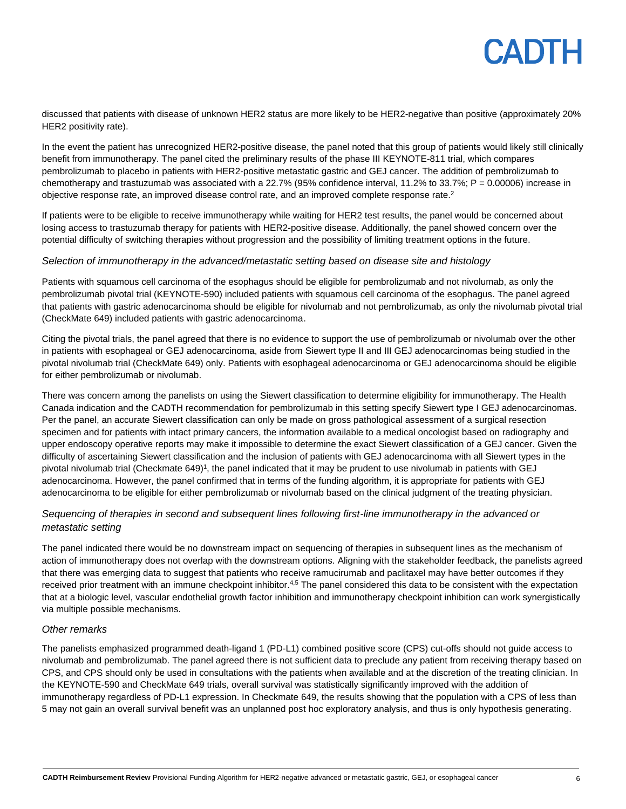discussed that patients with disease of unknown HER2 status are more likely to be HER2-negative than positive (approximately 20% HER2 positivity rate).

In the event the patient has unrecognized HER2-positive disease, the panel noted that this group of patients would likely still clinically benefit from immunotherapy. The panel cited the preliminary results of the phase III KEYNOTE-811 trial, which compares pembrolizumab to placebo in patients with HER2-positive metastatic gastric and GEJ cancer. The addition of pembrolizumab to chemotherapy and trastuzumab was associated with a 22.7% (95% confidence interval, 11.2% to 33.7%;  $P = 0.00006$ ) increase in objective response rate, an improved disease control rate, and an improved complete response rate. $^2$ 

If patients were to be eligible to receive immunotherapy while waiting for HER2 test results, the panel would be concerned about losing access to trastuzumab therapy for patients with HER2-positive disease. Additionally, the panel showed concern over the potential difficulty of switching therapies without progression and the possibility of limiting treatment options in the future.

#### *Selection of immunotherapy in the advanced/metastatic setting based on disease site and histology*

Patients with squamous cell carcinoma of the esophagus should be eligible for pembrolizumab and not nivolumab, as only the pembrolizumab pivotal trial (KEYNOTE-590) included patients with squamous cell carcinoma of the esophagus. The panel agreed that patients with gastric adenocarcinoma should be eligible for nivolumab and not pembrolizumab, as only the nivolumab pivotal trial (CheckMate 649) included patients with gastric adenocarcinoma.

Citing the pivotal trials, the panel agreed that there is no evidence to support the use of pembrolizumab or nivolumab over the other in patients with esophageal or GEJ adenocarcinoma, aside from Siewert type II and III GEJ adenocarcinomas being studied in the pivotal nivolumab trial (CheckMate 649) only. Patients with esophageal adenocarcinoma or GEJ adenocarcinoma should be eligible for either pembrolizumab or nivolumab.

There was concern among the panelists on using the Siewert classification to determine eligibility for immunotherapy. The Health Canada indication and the CADTH recommendation for pembrolizumab in this setting specify Siewert type I GEJ adenocarcinomas. Per the panel, an accurate Siewert classification can only be made on gross pathological assessment of a surgical resection specimen and for patients with intact primary cancers, the information available to a medical oncologist based on radiography and upper endoscopy operative reports may make it impossible to determine the exact Siewert classification of a GEJ cancer. Given the difficulty of ascertaining Siewert classification and the inclusion of patients with GEJ adenocarcinoma with all Siewert types in the pivotal nivolumab trial (Checkmate 649)<sup>1</sup>, the panel indicated that it may be prudent to use nivolumab in patients with GEJ adenocarcinoma. However, the panel confirmed that in terms of the funding algorithm, it is appropriate for patients with GEJ adenocarcinoma to be eligible for either pembrolizumab or nivolumab based on the clinical judgment of the treating physician.

#### *Sequencing of therapies in second and subsequent lines following first-line immunotherapy in the advanced or metastatic setting*

The panel indicated there would be no downstream impact on sequencing of therapies in subsequent lines as the mechanism of action of immunotherapy does not overlap with the downstream options. Aligning with the stakeholder feedback, the panelists agreed that there was emerging data to suggest that patients who receive ramucirumab and paclitaxel may have better outcomes if they received prior treatment with an immune checkpoint inhibitor.<sup>4,5</sup> The panel considered this data to be consistent with the expectation that at a biologic level, vascular endothelial growth factor inhibition and immunotherapy checkpoint inhibition can work synergistically via multiple possible mechanisms.

#### *Other remarks*

The panelists emphasized programmed death-ligand 1 (PD-L1) combined positive score (CPS) cut-offs should not guide access to nivolumab and pembrolizumab. The panel agreed there is not sufficient data to preclude any patient from receiving therapy based on CPS, and CPS should only be used in consultations with the patients when available and at the discretion of the treating clinician. In the KEYNOTE-590 and CheckMate 649 trials, overall survival was statistically significantly improved with the addition of immunotherapy regardless of PD-L1 expression. In Checkmate 649, the results showing that the population with a CPS of less than 5 may not gain an overall survival benefit was an unplanned post hoc exploratory analysis, and thus is only hypothesis generating.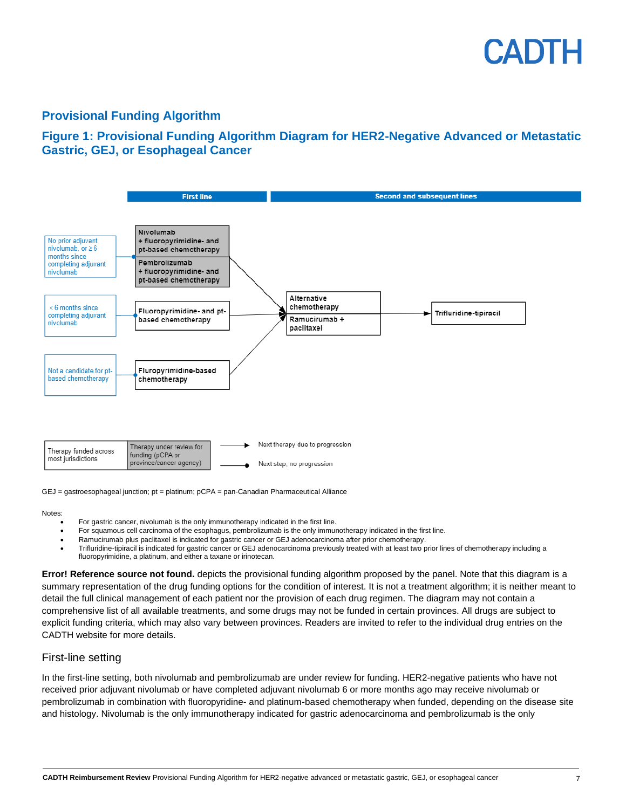### CADIH

#### **Provisional Funding Algorithm**

#### **Figure 1: Provisional Funding Algorithm Diagram for HER2-Negative Advanced or Metastatic Gastric, GEJ, or Esophageal Cancer**



GEJ = gastroesophageal junction; pt = platinum; pCPA = pan-Canadian Pharmaceutical Alliance

#### Notes:

- For gastric cancer, nivolumab is the only immunotherapy indicated in the first line.
- For squamous cell carcinoma of the esophagus, pembrolizumab is the only immunotherapy indicated in the first line.
- Ramucirumab plus paclitaxel is indicated for gastric cancer or GEJ adenocarcinoma after prior chemotherapy.
- Trifluridine-tipiracil is indicated for gastric cancer or GEJ adenocarcinoma previously treated with at least two prior lines of chemotherapy including a fluoropyrimidine, a platinum, and either a taxane or irinotecan.

**Error! Reference source not found.** depicts the provisional funding algorithm proposed by the panel. Note that this diagram is a summary representation of the drug funding options for the condition of interest. It is not a treatment algorithm; it is neither meant to detail the full clinical management of each patient nor the provision of each drug regimen. The diagram may not contain a comprehensive list of all available treatments, and some drugs may not be funded in certain provinces. All drugs are subject to explicit funding criteria, which may also vary between provinces. Readers are invited to refer to the individual drug entries on the CADTH website for more details.

#### First-line setting

In the first-line setting, both nivolumab and pembrolizumab are under review for funding. HER2-negative patients who have not received prior adjuvant nivolumab or have completed adjuvant nivolumab 6 or more months ago may receive nivolumab or pembrolizumab in combination with fluoropyridine- and platinum-based chemotherapy when funded, depending on the disease site and histology. Nivolumab is the only immunotherapy indicated for gastric adenocarcinoma and pembrolizumab is the only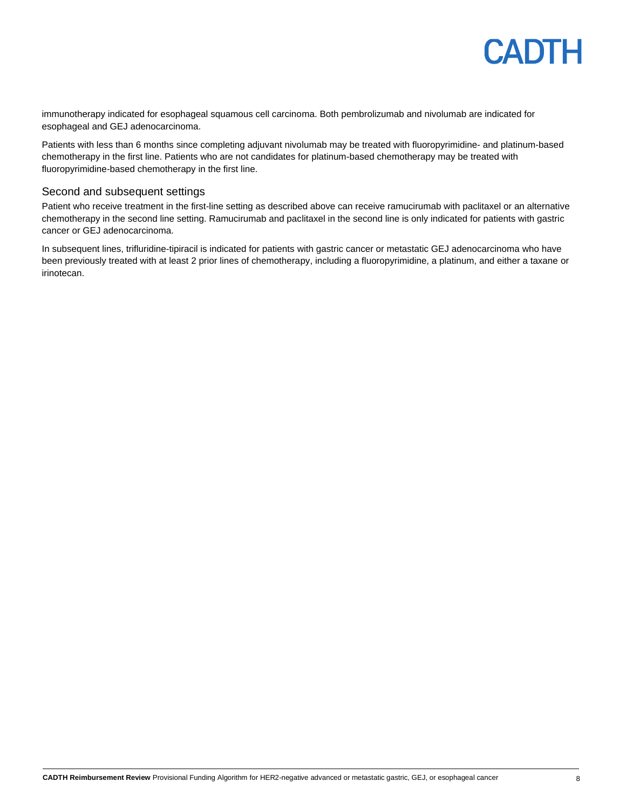

immunotherapy indicated for esophageal squamous cell carcinoma. Both pembrolizumab and nivolumab are indicated for esophageal and GEJ adenocarcinoma.

Patients with less than 6 months since completing adjuvant nivolumab may be treated with fluoropyrimidine- and platinum-based chemotherapy in the first line. Patients who are not candidates for platinum-based chemotherapy may be treated with fluoropyrimidine-based chemotherapy in the first line.

#### Second and subsequent settings

Patient who receive treatment in the first-line setting as described above can receive ramucirumab with paclitaxel or an alternative chemotherapy in the second line setting. Ramucirumab and paclitaxel in the second line is only indicated for patients with gastric cancer or GEJ adenocarcinoma.

<span id="page-7-0"></span>In subsequent lines, trifluridine-tipiracil is indicated for patients with gastric cancer or metastatic GEJ adenocarcinoma who have been previously treated with at least 2 prior lines of chemotherapy, including a fluoropyrimidine, a platinum, and either a taxane or irinotecan.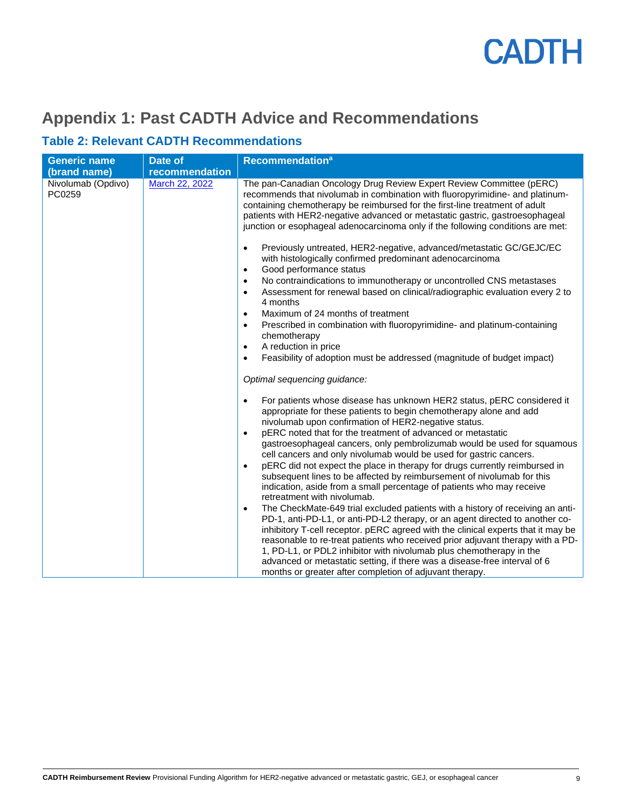### **Appendix 1: Past CADTH Advice and Recommendations**

#### **Table 2: Relevant CADTH Recommendations**

| <b>Generic name</b>          | Date of        | <b>Recommendation<sup>a</sup></b>                                                                                                                                                                                                                                                                                                                                                                                                                                                                                                                                |
|------------------------------|----------------|------------------------------------------------------------------------------------------------------------------------------------------------------------------------------------------------------------------------------------------------------------------------------------------------------------------------------------------------------------------------------------------------------------------------------------------------------------------------------------------------------------------------------------------------------------------|
| (brand name)                 | recommendation |                                                                                                                                                                                                                                                                                                                                                                                                                                                                                                                                                                  |
| Nivolumab (Opdivo)<br>PC0259 | March 22, 2022 | The pan-Canadian Oncology Drug Review Expert Review Committee (pERC)<br>recommends that nivolumab in combination with fluoropyrimidine- and platinum-<br>containing chemotherapy be reimbursed for the first-line treatment of adult<br>patients with HER2-negative advanced or metastatic gastric, gastroesophageal<br>junction or esophageal adenocarcinoma only if the following conditions are met:                                                                                                                                                          |
|                              |                | Previously untreated, HER2-negative, advanced/metastatic GC/GEJC/EC<br>$\bullet$<br>with histologically confirmed predominant adenocarcinoma<br>Good performance status<br>$\bullet$                                                                                                                                                                                                                                                                                                                                                                             |
|                              |                | No contraindications to immunotherapy or uncontrolled CNS metastases<br>$\bullet$<br>Assessment for renewal based on clinical/radiographic evaluation every 2 to<br>$\bullet$<br>4 months                                                                                                                                                                                                                                                                                                                                                                        |
|                              |                | Maximum of 24 months of treatment<br>$\bullet$<br>Prescribed in combination with fluoropyrimidine- and platinum-containing<br>$\bullet$<br>chemotherapy                                                                                                                                                                                                                                                                                                                                                                                                          |
|                              |                | A reduction in price<br>$\bullet$<br>Feasibility of adoption must be addressed (magnitude of budget impact)<br>$\bullet$                                                                                                                                                                                                                                                                                                                                                                                                                                         |
|                              |                | Optimal sequencing guidance:                                                                                                                                                                                                                                                                                                                                                                                                                                                                                                                                     |
|                              |                | For patients whose disease has unknown HER2 status, pERC considered it<br>$\bullet$<br>appropriate for these patients to begin chemotherapy alone and add<br>nivolumab upon confirmation of HER2-negative status.<br>pERC noted that for the treatment of advanced or metastatic<br>$\bullet$<br>gastroesophageal cancers, only pembrolizumab would be used for squamous<br>cell cancers and only nivolumab would be used for gastric cancers.<br>pERC did not expect the place in therapy for drugs currently reimbursed in<br>$\bullet$                        |
|                              |                | subsequent lines to be affected by reimbursement of nivolumab for this<br>indication, aside from a small percentage of patients who may receive<br>retreatment with nivolumab.                                                                                                                                                                                                                                                                                                                                                                                   |
|                              |                | The CheckMate-649 trial excluded patients with a history of receiving an anti-<br>$\bullet$<br>PD-1, anti-PD-L1, or anti-PD-L2 therapy, or an agent directed to another co-<br>inhibitory T-cell receptor. pERC agreed with the clinical experts that it may be<br>reasonable to re-treat patients who received prior adjuvant therapy with a PD-<br>1, PD-L1, or PDL2 inhibitor with nivolumab plus chemotherapy in the<br>advanced or metastatic setting, if there was a disease-free interval of 6<br>months or greater after completion of adjuvant therapy. |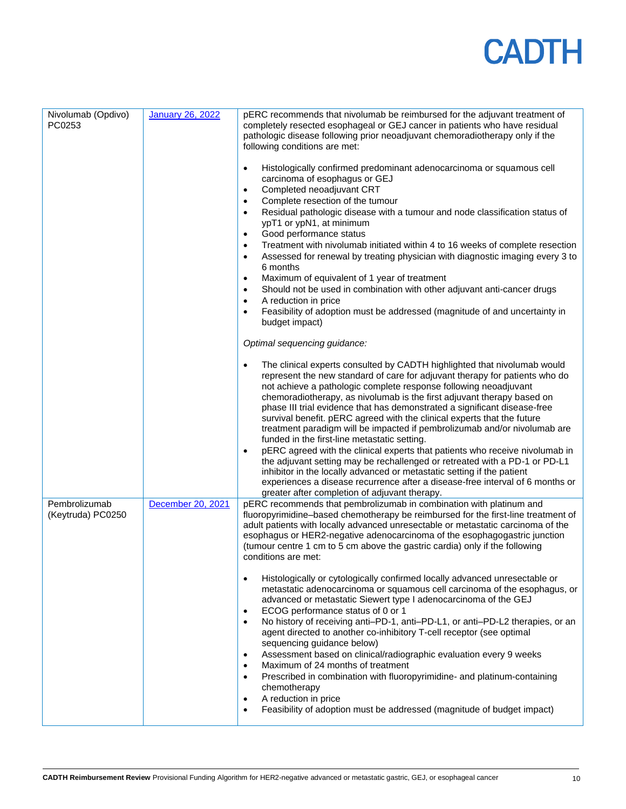| Nivolumab (Opdivo)<br>PC0253       | <b>January 26, 2022</b> | pERC recommends that nivolumab be reimbursed for the adjuvant treatment of<br>completely resected esophageal or GEJ cancer in patients who have residual<br>pathologic disease following prior neoadjuvant chemoradiotherapy only if the<br>following conditions are met:                                                                                                                                                                                                                                                                                                                                                                                                                                                                                                                                                                                                                                                                                                                      |
|------------------------------------|-------------------------|------------------------------------------------------------------------------------------------------------------------------------------------------------------------------------------------------------------------------------------------------------------------------------------------------------------------------------------------------------------------------------------------------------------------------------------------------------------------------------------------------------------------------------------------------------------------------------------------------------------------------------------------------------------------------------------------------------------------------------------------------------------------------------------------------------------------------------------------------------------------------------------------------------------------------------------------------------------------------------------------|
|                                    |                         | Histologically confirmed predominant adenocarcinoma or squamous cell<br>$\bullet$<br>carcinoma of esophagus or GEJ<br>Completed neoadjuvant CRT<br>$\bullet$<br>Complete resection of the tumour<br>$\bullet$<br>Residual pathologic disease with a tumour and node classification status of<br>$\bullet$<br>ypT1 or ypN1, at minimum<br>Good performance status<br>$\bullet$<br>Treatment with nivolumab initiated within 4 to 16 weeks of complete resection<br>$\bullet$<br>Assessed for renewal by treating physician with diagnostic imaging every 3 to<br>$\bullet$<br>6 months                                                                                                                                                                                                                                                                                                                                                                                                          |
|                                    |                         | Maximum of equivalent of 1 year of treatment<br>$\bullet$<br>Should not be used in combination with other adjuvant anti-cancer drugs<br>$\bullet$<br>A reduction in price<br>$\bullet$<br>Feasibility of adoption must be addressed (magnitude of and uncertainty in<br>$\bullet$<br>budget impact)                                                                                                                                                                                                                                                                                                                                                                                                                                                                                                                                                                                                                                                                                            |
|                                    |                         | Optimal sequencing guidance:                                                                                                                                                                                                                                                                                                                                                                                                                                                                                                                                                                                                                                                                                                                                                                                                                                                                                                                                                                   |
|                                    |                         | The clinical experts consulted by CADTH highlighted that nivolumab would<br>$\bullet$<br>represent the new standard of care for adjuvant therapy for patients who do<br>not achieve a pathologic complete response following neoadjuvant<br>chemoradiotherapy, as nivolumab is the first adjuvant therapy based on<br>phase III trial evidence that has demonstrated a significant disease-free<br>survival benefit. pERC agreed with the clinical experts that the future<br>treatment paradigm will be impacted if pembrolizumab and/or nivolumab are<br>funded in the first-line metastatic setting.<br>pERC agreed with the clinical experts that patients who receive nivolumab in<br>$\bullet$<br>the adjuvant setting may be rechallenged or retreated with a PD-1 or PD-L1<br>inhibitor in the locally advanced or metastatic setting if the patient<br>experiences a disease recurrence after a disease-free interval of 6 months or<br>greater after completion of adjuvant therapy. |
| Pembrolizumab<br>(Keytruda) PC0250 | December 20, 2021       | pERC recommends that pembrolizumab in combination with platinum and<br>fluoropyrimidine-based chemotherapy be reimbursed for the first-line treatment of<br>adult patients with locally advanced unresectable or metastatic carcinoma of the<br>esophagus or HER2-negative adenocarcinoma of the esophagogastric junction<br>(tumour centre 1 cm to 5 cm above the gastric cardia) only if the following<br>conditions are met:                                                                                                                                                                                                                                                                                                                                                                                                                                                                                                                                                                |
|                                    |                         | Histologically or cytologically confirmed locally advanced unresectable or<br>$\bullet$<br>metastatic adenocarcinoma or squamous cell carcinoma of the esophagus, or<br>advanced or metastatic Siewert type I adenocarcinoma of the GEJ<br>ECOG performance status of 0 or 1<br>$\bullet$<br>No history of receiving anti-PD-1, anti-PD-L1, or anti-PD-L2 therapies, or an<br>$\bullet$<br>agent directed to another co-inhibitory T-cell receptor (see optimal<br>sequencing guidance below)<br>Assessment based on clinical/radiographic evaluation every 9 weeks<br>$\bullet$<br>Maximum of 24 months of treatment<br>٠<br>Prescribed in combination with fluoropyrimidine- and platinum-containing<br>٠<br>chemotherapy<br>A reduction in price<br>$\bullet$<br>Feasibility of adoption must be addressed (magnitude of budget impact)<br>$\bullet$                                                                                                                                        |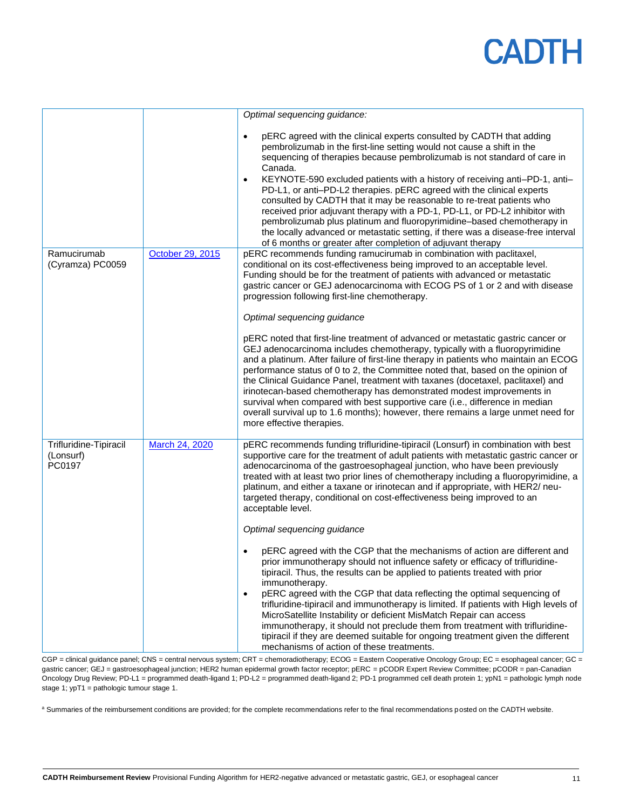|                                               |                  | Optimal sequencing guidance:                                                                                                                                                                                                                                                                                                                                                                                                                                                                                                                                                                                                                                                                                                                                                                                |
|-----------------------------------------------|------------------|-------------------------------------------------------------------------------------------------------------------------------------------------------------------------------------------------------------------------------------------------------------------------------------------------------------------------------------------------------------------------------------------------------------------------------------------------------------------------------------------------------------------------------------------------------------------------------------------------------------------------------------------------------------------------------------------------------------------------------------------------------------------------------------------------------------|
|                                               |                  | pERC agreed with the clinical experts consulted by CADTH that adding<br>$\bullet$<br>pembrolizumab in the first-line setting would not cause a shift in the<br>sequencing of therapies because pembrolizumab is not standard of care in<br>Canada.<br>KEYNOTE-590 excluded patients with a history of receiving anti-PD-1, anti-<br>$\bullet$<br>PD-L1, or anti-PD-L2 therapies. pERC agreed with the clinical experts<br>consulted by CADTH that it may be reasonable to re-treat patients who<br>received prior adjuvant therapy with a PD-1, PD-L1, or PD-L2 inhibitor with<br>pembrolizumab plus platinum and fluoropyrimidine-based chemotherapy in<br>the locally advanced or metastatic setting, if there was a disease-free interval<br>of 6 months or greater after completion of adjuvant therapy |
| Ramucirumab<br>(Cyramza) PC0059               | October 29, 2015 | pERC recommends funding ramucirumab in combination with paclitaxel,<br>conditional on its cost-effectiveness being improved to an acceptable level.<br>Funding should be for the treatment of patients with advanced or metastatic<br>gastric cancer or GEJ adenocarcinoma with ECOG PS of 1 or 2 and with disease<br>progression following first-line chemotherapy.                                                                                                                                                                                                                                                                                                                                                                                                                                        |
|                                               |                  | Optimal sequencing guidance                                                                                                                                                                                                                                                                                                                                                                                                                                                                                                                                                                                                                                                                                                                                                                                 |
|                                               |                  | pERC noted that first-line treatment of advanced or metastatic gastric cancer or<br>GEJ adenocarcinoma includes chemotherapy, typically with a fluoropyrimidine<br>and a platinum. After failure of first-line therapy in patients who maintain an ECOG<br>performance status of 0 to 2, the Committee noted that, based on the opinion of<br>the Clinical Guidance Panel, treatment with taxanes (docetaxel, paclitaxel) and<br>irinotecan-based chemotherapy has demonstrated modest improvements in<br>survival when compared with best supportive care (i.e., difference in median<br>overall survival up to 1.6 months); however, there remains a large unmet need for<br>more effective therapies.                                                                                                    |
| Trifluridine-Tipiracil<br>(Lonsurf)<br>PC0197 | March 24, 2020   | pERC recommends funding trifluridine-tipiracil (Lonsurf) in combination with best<br>supportive care for the treatment of adult patients with metastatic gastric cancer or<br>adenocarcinoma of the gastroesophageal junction, who have been previously<br>treated with at least two prior lines of chemotherapy including a fluoropyrimidine, a<br>platinum, and either a taxane or irinotecan and if appropriate, with HER2/ neu-<br>targeted therapy, conditional on cost-effectiveness being improved to an<br>acceptable level.                                                                                                                                                                                                                                                                        |
|                                               |                  | Optimal sequencing guidance                                                                                                                                                                                                                                                                                                                                                                                                                                                                                                                                                                                                                                                                                                                                                                                 |
|                                               |                  | pERC agreed with the CGP that the mechanisms of action are different and<br>prior immunotherapy should not influence safety or efficacy of trifluridine-<br>tipiracil. Thus, the results can be applied to patients treated with prior<br>immunotherapy.<br>pERC agreed with the CGP that data reflecting the optimal sequencing of<br>$\bullet$<br>trifluridine-tipiracil and immunotherapy is limited. If patients with High levels of<br>MicroSatellite Instability or deficient MisMatch Repair can access<br>immunotherapy, it should not preclude them from treatment with trifluridine-<br>tipiracil if they are deemed suitable for ongoing treatment given the different<br>mechanisms of action of these treatments.                                                                              |

CGP = clinical guidance panel; CNS = central nervous system; CRT = chemoradiotherapy; ECOG = Eastern Cooperative Oncology Group; EC = esophageal cancer; GC = gastric cancer; GEJ = gastroesophageal junction; HER2 human epidermal growth factor receptor; pERC = pCODR Expert Review Committee; pCODR = pan-Canadian Oncology Drug Review; PD-L1 = programmed death-ligand 1; PD-L2 = programmed death-ligand 2; PD-1 programmed cell death protein 1; ypN1 = pathologic lymph node stage 1; ypT1 = pathologic tumour stage 1.

a Summaries of the reimbursement conditions are provided; for the complete recommendations refer to the final recommendations posted on the CADTH website.